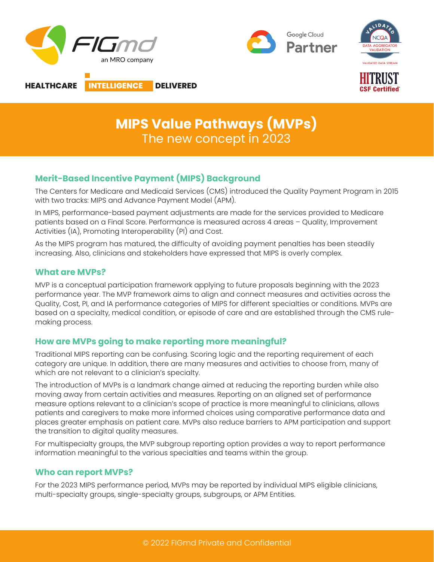

# **MIPS Value Pathways (MVPs)**  The new concept in 2023

## **Merit-Based Incentive Payment (MIPS) Background**

The Centers for Medicare and Medicaid Services (CMS) introduced the Quality Payment Program in 2015 with two tracks: MIPS and Advance Payment Model (APM).

In MIPS, performance-based payment adjustments are made for the services provided to Medicare patients based on a Final Score. Performance is measured across 4 areas – Quality, Improvement Activities (IA), Promoting Interoperability (PI) and Cost.

As the MIPS program has matured, the difficulty of avoiding payment penalties has been steadily increasing. Also, clinicians and stakeholders have expressed that MIPS is overly complex.

### **What are MVPs?**

MVP is a conceptual participation framework applying to future proposals beginning with the 2023 performance year. The MVP framework aims to align and connect measures and activities across the Quality, Cost, PI, and IA performance categories of MIPS for different specialties or conditions. MVPs are based on a specialty, medical condition, or episode of care and are established through the CMS rulemaking process.

## **How are MVPs going to make reporting more meaningful?**

Traditional MIPS reporting can be confusing. Scoring logic and the reporting requirement of each category are unique. In addition, there are many measures and activities to choose from, many of which are not relevant to a clinician's specialty.

The introduction of MVPs is a landmark change aimed at reducing the reporting burden while also moving away from certain activities and measures. Reporting on an aligned set of performance measure options relevant to a clinician's scope of practice is more meaningful to clinicians, allows patients and caregivers to make more informed choices using comparative performance data and places greater emphasis on patient care. MVPs also reduce barriers to APM participation and support the transition to digital quality measures.

For multispecialty groups, the MVP subgroup reporting option provides a way to report performance information meaningful to the various specialties and teams within the group.

#### **Who can report MVPs?**

For the 2023 MIPS performance period, MVPs may be reported by individual MIPS eligible clinicians, multi-specialty groups, single-specialty groups, subgroups, or APM Entities.